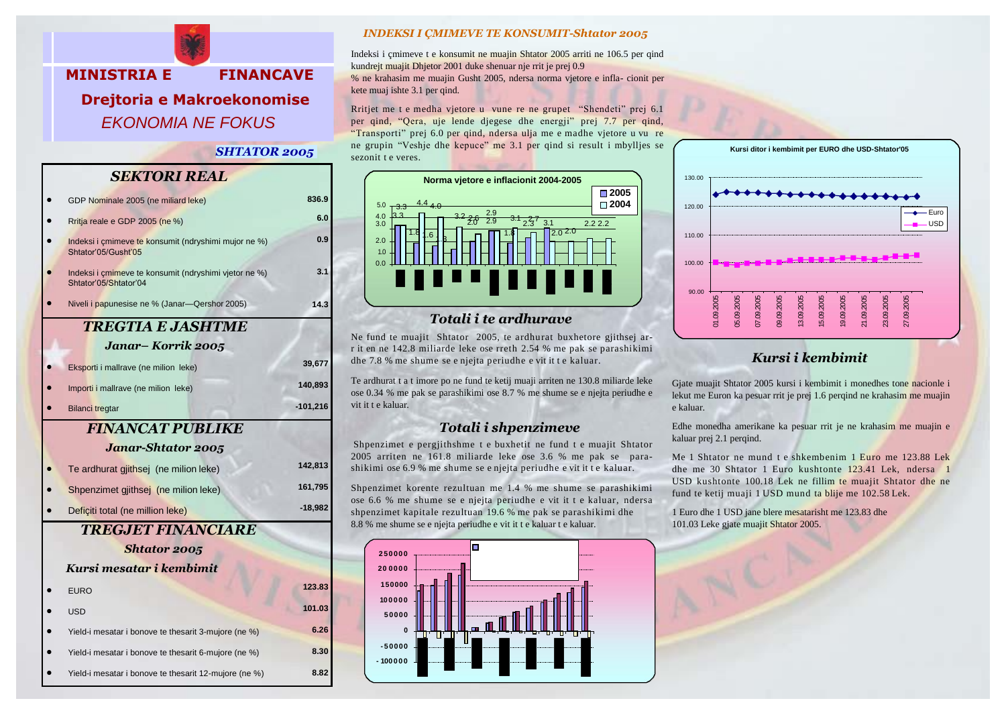

#### *SHTATOR 2005*

## *SEKTORI REAL*

|                     | GDP Nominale 2005 (ne miliard leke)                                            | 836.9      |  |  |
|---------------------|--------------------------------------------------------------------------------|------------|--|--|
|                     | Rritja reale e GDP 2005 (ne %)                                                 | 6.0        |  |  |
|                     | Indeksi i cmimeve te konsumit (ndryshimi mujor ne %)<br>Shtator'05/Gusht'05    | 0.9        |  |  |
|                     | Indeksi i çmimeve te konsumit (ndryshimi vjetor ne %)<br>Shtator'05/Shtator'04 | 3.1        |  |  |
|                     | Niveli i papunesise ne % (Janar-Qershor 2005)                                  | 14.3       |  |  |
|                     | <b>TREGTIA E JASHTME</b>                                                       |            |  |  |
|                     | Janar– Korrik 2005                                                             |            |  |  |
|                     | Eksporti i mallrave (ne milion leke)                                           | 39,677     |  |  |
|                     | Importi i mallrave (ne milion leke)                                            | 140,893    |  |  |
|                     | <b>Bilanci tregtar</b>                                                         | $-101,216$ |  |  |
|                     | <b>FINANCAT PUBLIKE</b>                                                        |            |  |  |
|                     | Janar-Shtator 2005                                                             |            |  |  |
|                     | Te ardhurat gjithsej (ne milion leke)                                          | 142,813    |  |  |
|                     | Shpenzimet gjithsej (ne milion leke)                                           | 161,795    |  |  |
|                     | Deficiti total (ne million leke)                                               | $-18,982$  |  |  |
|                     | <b>TREGJET FINANCIARE</b>                                                      |            |  |  |
| <b>Shtator 2005</b> |                                                                                |            |  |  |
|                     | Kursi mesatar i kembimit                                                       |            |  |  |
|                     | <b>EURO</b>                                                                    | 123.83     |  |  |
|                     | <b>USD</b>                                                                     | 101.03     |  |  |
|                     | Yield-i mesatar i bonove te thesarit 3-mujore (ne %)                           | 6.26       |  |  |
|                     | Yield-i mesatar i bonove te thesarit 6-mujore (ne %)                           | 8.30       |  |  |
|                     |                                                                                |            |  |  |

#### *INDEKSI I ÇMIMEVE TE KONSUMIT-Shtator 2005*

Indeksi i çmimeve t e konsumit ne muajin Shtator 2005 arriti ne 106.5 per qind kundrejt muajit Dhjetor 2001 duke shenuar nje rrit je prej 0.9 % ne krahasim me muajin Gusht 2005, ndersa norma vjetore e infla- cionit per kete muaj ishte 3.1 per qind.

Rritjet me t e medha vjetore u vune re ne grupet "Shendeti" prej 6.1 per qind, "Qera, uje lende djegese dhe energji" prej 7.7 per qind, "Transporti" prej 6.0 per qind, ndersa ulja me e madhe vjetore u vu re ne grupin "Veshje dhe kepuce" me 3.1 per qind si result i mbylljes se sezonit t e veres.



## *Totali i te ardhurave*

Ne fund te muajit Shtator 2005, te ardhurat buxhetore gjithsej arr it en ne 142.8 miliarde leke ose rreth 2.54 % me pak se parashikimi dhe 7.8 % me shume se e njejta periudhe e vit it t e kaluar.

Te ardhurat t a t imore po ne fund te ketij muaji arriten ne 130.8 miliarde leke ose 0.34 % me pak se parashikimi ose 8.7 % me shume se e njejta periudhe e vit it t e kaluar.

## *Totali i shpenzimeve*

Shpenzimet e pergjithshme t e buxhetit ne fund t e muajit Shtator 2005 arriten ne 161.8 miliarde leke ose 3.6 % me pak se parashikimi ose 6.9 % me shume se e njejta periudhe e vit it t e kaluar.

Shpenzimet korente rezultuan me 1.4 % me shume se parashikimi ose 6.6 % me shume se e njejta periudhe e vit it t e kaluar, ndersa shpenzimet kapitale rezultuan 19.6 % me pak se parashikimi dhe 8.8 % me shume se e njejta periudhe e vit it t e kaluar t e kaluar.





# *Kursi i kembimit*

Gjate muajit Shtator 2005 kursi i kembimit i monedhes tone nacionle i lekut me Euron ka pesuar rrit je prej 1.6 perqind ne krahasim me muajin e kaluar.

Edhe monedha amerikane ka pesuar rrit je ne krahasim me muajin e kaluar prej 2.1 perqind.

Me 1 Shtator ne mund t e shkembenim 1 Euro me 123.88 Lek dhe me 30 Shtator 1 Euro kushtonte 123.41 Lek, ndersa 1 USD kushtonte 100.18 Lek ne fillim te muajit Shtator dhe ne fund te ketij muaji 1 USD mund ta blije me 102.58 Lek.

1 Euro dhe 1 USD jane blere mesatarisht me 123.83 dhe 101.03 Leke gjate muajit Shtator 2005.

• Yield-i mesatar i bonove te thesarit 12-mujore (ne %)

**8.82**